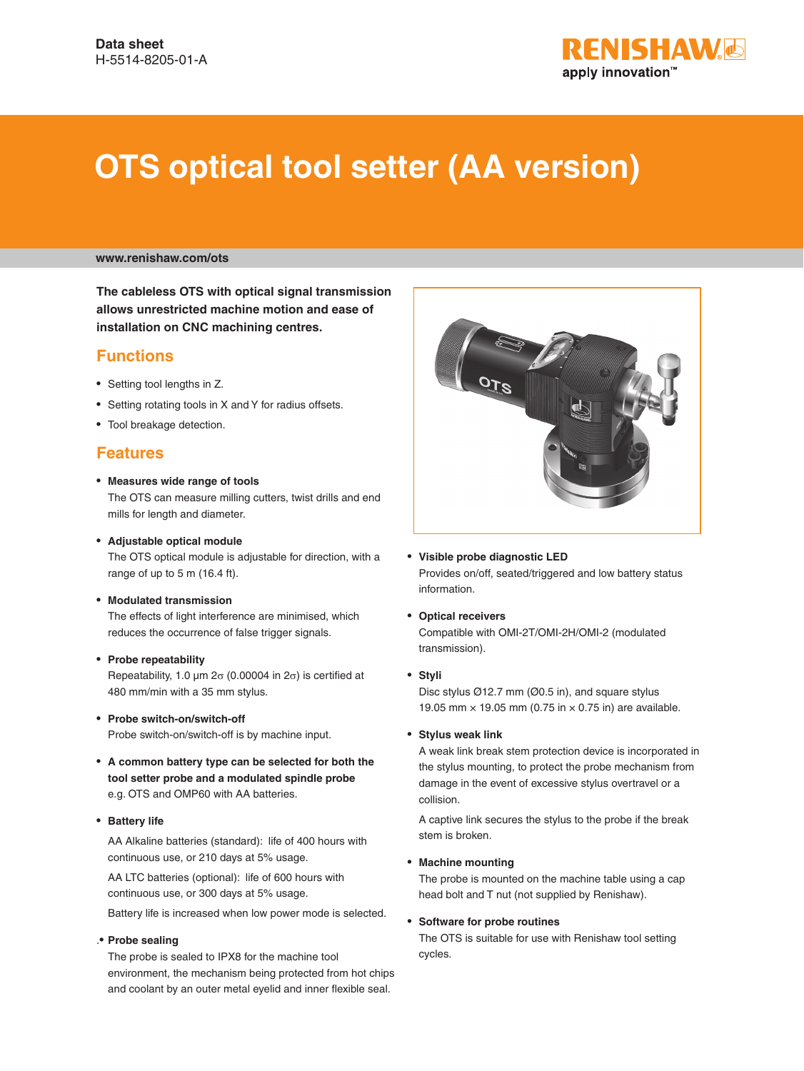

# **OTS optical tool setter (AA version)**

#### **www.renishaw.com/ots**

**The cableless OTS with optical signal transmission allows unrestricted machine motion and ease of installation on CNC machining centres.**

#### **Functions**

- Setting tool lengths in Z.
- Setting rotating tools in X and Y for radius offsets.
- Tool breakage detection.

#### **Features**

- **Measures wide range of tools**  The OTS can measure milling cutters, twist drills and end mills for length and diameter.
- **Adjustable optical module** The OTS optical module is adjustable for direction, with a range of up to 5 m (16.4 ft).
- **Modulated transmission**

The effects of light interference are minimised, which reduces the occurrence of false trigger signals.

• **Probe repeatability**

Repeatability, 1.0  $\mu$ m 2 $\sigma$  (0.00004 in 2 $\sigma$ ) is certified at 480 mm/min with a 35 mm stylus.

- **Probe switch-on/switch-off** Probe switch-on/switch-off is by machine input.
- **A common battery type can be selected for both the tool setter probe and a modulated spindle probe** e.g. OTS and OMP60 with AA batteries.
- **Battery life**

AA Alkaline batteries (standard): life of 400 hours with continuous use, or 210 days at 5% usage.

AA LTC batteries (optional): life of 600 hours with continuous use, or 300 days at 5% usage.

Battery life is increased when low power mode is selected.

#### .• **Probe sealing**

The probe is sealed to IPX8 for the machine tool environment, the mechanism being protected from hot chips and coolant by an outer metal eyelid and inner flexible seal.



- **Visible probe diagnostic LED** Provides on/off, seated/triggered and low battery status information.
- **Optical receivers**  Compatible with OMI-2T/OMI-2H/OMI-2 (modulated transmission).
- **Styli**

Disc stylus Ø12.7 mm (Ø0.5 in), and square stylus 19.05 mm  $\times$  19.05 mm (0.75 in  $\times$  0.75 in) are available.

• **Stylus weak link**

A weak link break stem protection device is incorporated in the stylus mounting, to protect the probe mechanism from damage in the event of excessive stylus overtravel or a collision.

A captive link secures the stylus to the probe if the break stem is broken.

#### • **Machine mounting**

The probe is mounted on the machine table using a cap head bolt and T nut (not supplied by Renishaw).

#### • **Software for probe routines**

The OTS is suitable for use with Renishaw tool setting cycles.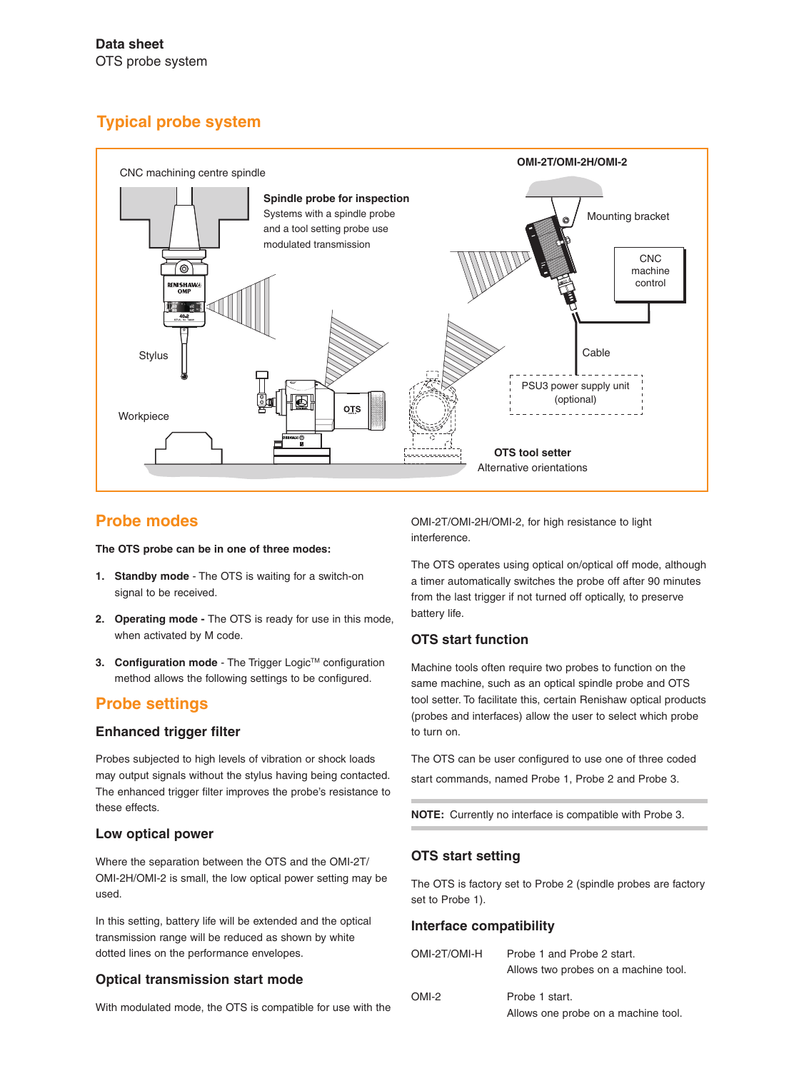# **Typical probe system**



## **Probe modes**

**The OTS probe can be in one of three modes:**

- **1. Standby mode**  The OTS is waiting for a switch-on signal to be received.
- **2. Operating mode** The OTS is ready for use in this mode, when activated by M code.
- **3. Configuration mode** The Trigger Logic™ configuration method allows the following settings to be configured.

# **Probe settings**

#### **Enhanced trigger filter**

Probes subjected to high levels of vibration or shock loads may output signals without the stylus having being contacted. The enhanced trigger filter improves the probe's resistance to these effects.

#### **Low optical power**

Where the separation between the OTS and the OMI-2T/ OMI-2H/OMI-2 is small, the low optical power setting may be used.

In this setting, battery life will be extended and the optical transmission range will be reduced as shown by white dotted lines on the performance envelopes.

#### **Optical transmission start mode**

With modulated mode, the OTS is compatible for use with the

OMI-2T/OMI-2H/OMI-2, for high resistance to light interference.

The OTS operates using optical on/optical off mode, although a timer automatically switches the probe off after 90 minutes from the last trigger if not turned off optically, to preserve battery life.

### **OTS start function**

Machine tools often require two probes to function on the same machine, such as an optical spindle probe and OTS tool setter. To facilitate this, certain Renishaw optical products (probes and interfaces) allow the user to select which probe to turn on.

The OTS can be user configured to use one of three coded start commands, named Probe 1, Probe 2 and Probe 3.

**NOTE:** Currently no interface is compatible with Probe 3.

#### **OTS start setting**

The OTS is factory set to Probe 2 (spindle probes are factory set to Probe 1).

#### **Interface compatibility**

| OMI-2T/OMI-H | Probe 1 and Probe 2 start.           |
|--------------|--------------------------------------|
|              | Allows two probes on a machine tool. |
| OMI-2        | Probe 1 start.                       |
|              | Allows one probe on a machine tool.  |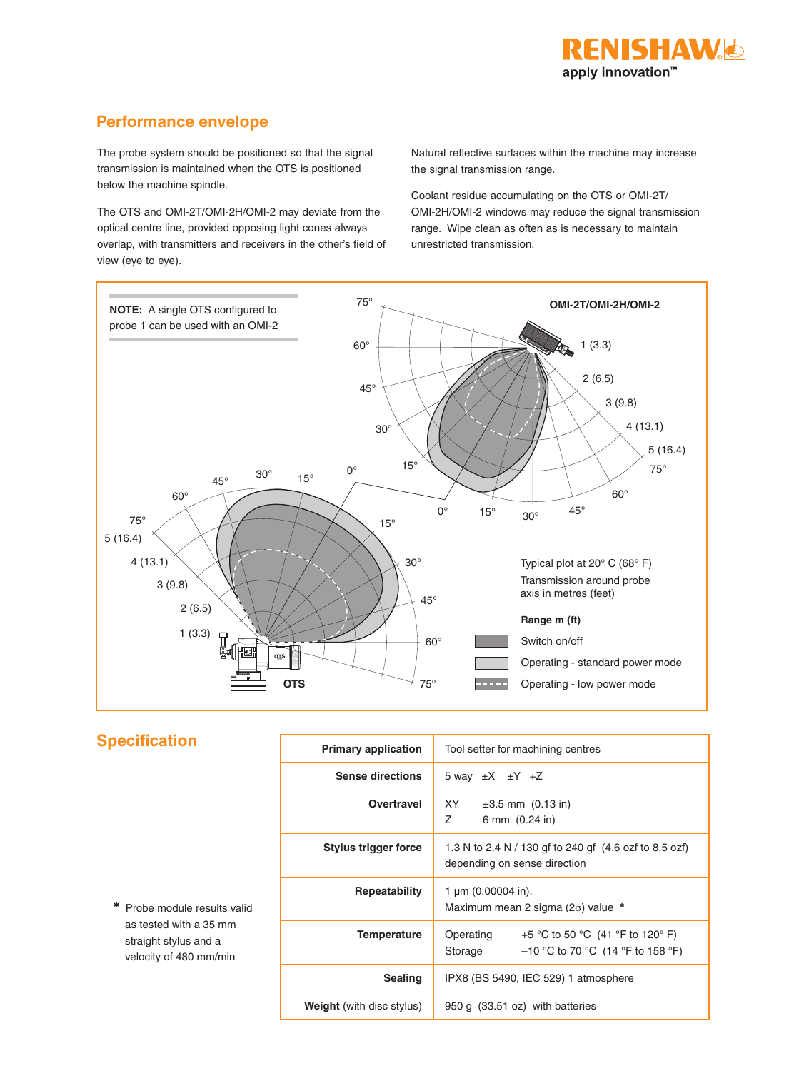## **Performance envelope**

The probe system should be positioned so that the signal transmission is maintained when the OTS is positioned below the machine spindle.

The OTS and OMI-2T/OMI-2H/OMI-2 may deviate from the optical centre line, provided opposing light cones always overlap, with transmitters and receivers in the other's field of view (eye to eye).

Natural reflective surfaces within the machine may increase the signal transmission range.

Coolant residue accumulating on the OTS or OMI-2T/ OMI-2H/OMI-2 windows may reduce the signal transmission range. Wipe clean as often as is necessary to maintain unrestricted transmission.



|  | <b>Specification</b> |  |  |
|--|----------------------|--|--|
|  |                      |  |  |

✱ Probe module results valid as tested with a 35 mm straight stylus and a velocity of 480 mm/min

| <b>Primary application</b>       | Tool setter for machining centres                                                               |  |  |
|----------------------------------|-------------------------------------------------------------------------------------------------|--|--|
| <b>Sense directions</b>          | 5 way $\pm X$ $\pm Y$ +Z                                                                        |  |  |
| Overtravel                       | XY X<br>$\pm 3.5$ mm $(0.13$ in)<br>$\overline{z}$<br>6 mm $(0.24 \text{ in})$                  |  |  |
| Stylus trigger force             | 1.3 N to 2.4 N / 130 gf to 240 gf (4.6 ozf to 8.5 ozf)<br>depending on sense direction          |  |  |
| Repeatability                    | 1 $\mu$ m (0.00004 in).<br>Maximum mean 2 sigma ( $2\sigma$ ) value *                           |  |  |
| Temperature                      | +5 °C to 50 °C (41 °F to 120° F)<br>Operating<br>$-10$ °C to 70 °C (14 °F to 158 °F)<br>Storage |  |  |
| <b>Sealing</b>                   | IPX8 (BS 5490, IEC 529) 1 atmosphere                                                            |  |  |
| <b>Weight</b> (with disc stylus) | 950 g (33.51 oz) with batteries                                                                 |  |  |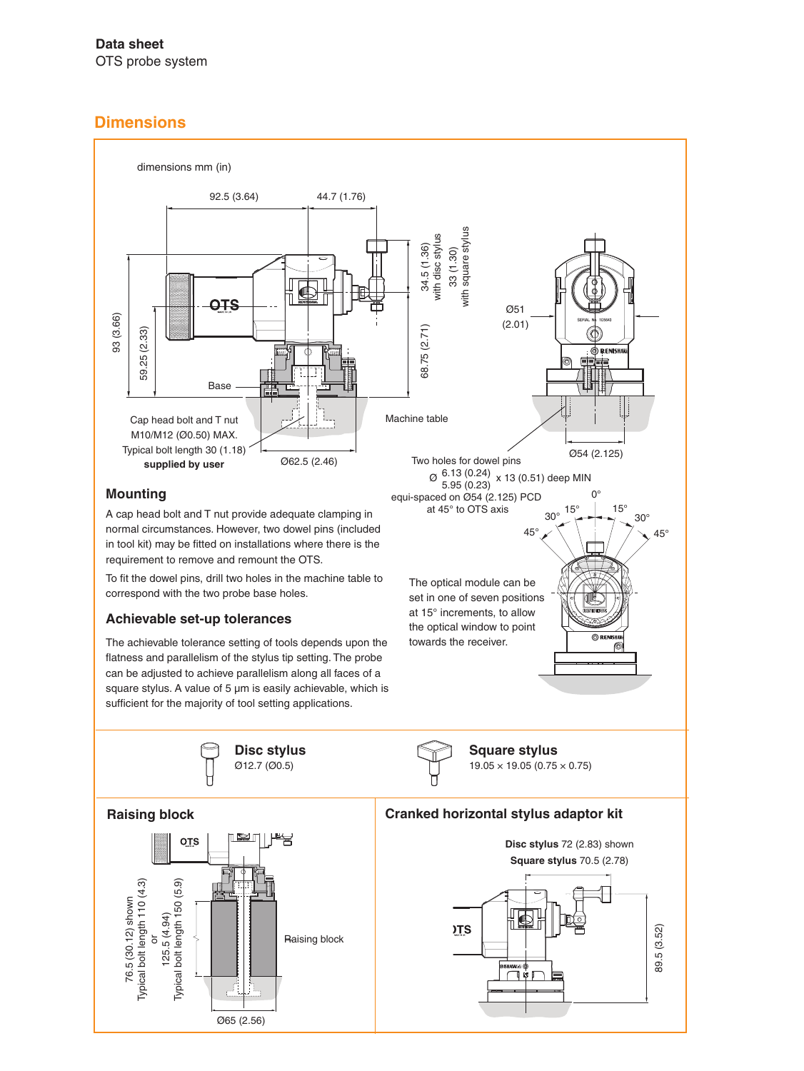## **Data sheet** OTS probe system

# **Dimensions**



Ø65 (2.56)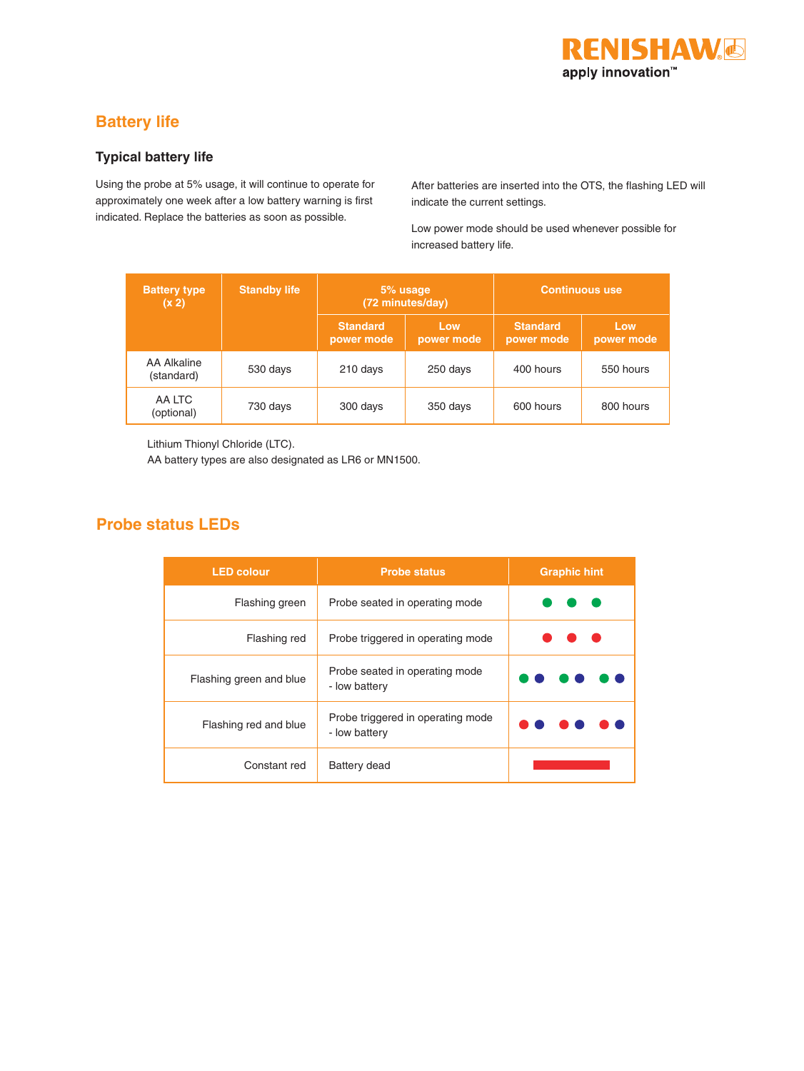

# **Battery life**

### **Typical battery life**

Using the probe at 5% usage, it will continue to operate for approximately one week after a low battery warning is first indicated. Replace the batteries as soon as possible.

After batteries are inserted into the OTS, the flashing LED will indicate the current settings.

Low power mode should be used whenever possible for increased battery life.

| <b>Battery type</b><br>(x 2) | <b>Standby life</b> | 5% usage<br>(72 minutes/day)  |                   | <b>Continuous use</b>         |                   |
|------------------------------|---------------------|-------------------------------|-------------------|-------------------------------|-------------------|
|                              |                     | <b>Standard</b><br>power mode | Low<br>power mode | <b>Standard</b><br>power mode | Low<br>power mode |
| AA Alkaline<br>(standard)    | 530 days            | 210 days                      | 250 days          | 400 hours                     | 550 hours         |
| AA LTC<br>(optional)         | 730 days            | 300 days                      | 350 days          | 600 hours                     | 800 hours         |

Lithium Thionyl Chloride (LTC).

AA battery types are also designated as LR6 or MN1500.

## **Probe status LEDs**

| <b>LED colour</b>       | <b>Probe status</b>                                | <b>Graphic hint</b> |  |
|-------------------------|----------------------------------------------------|---------------------|--|
| Flashing green          | Probe seated in operating mode                     |                     |  |
| Flashing red            | Probe triggered in operating mode                  |                     |  |
| Flashing green and blue | Probe seated in operating mode<br>- low battery    |                     |  |
| Flashing red and blue   | Probe triggered in operating mode<br>- low battery |                     |  |
| Constant red            | Battery dead                                       |                     |  |